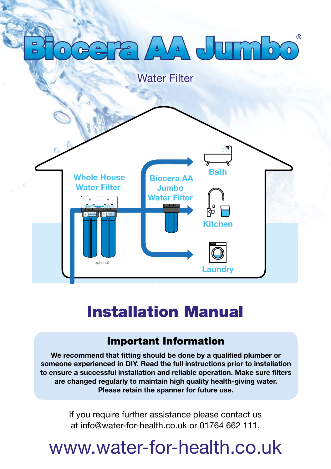# AVA JUTA

Water Filter



## Installation Manual

### Important Information

We recommend that fitting should be done by a qualified plumber or someone experienced in DIY. Read the full instructions prior to installation to ensure a successful installation and reliable operation. Make sure filters are changed regularly to maintain high quality health-giving water. Please retain the spanner for future use.

> If you require further assistance please contact us at info@water-for-health.co.uk or 01764 662 111.

# www.water-for-health.co.uk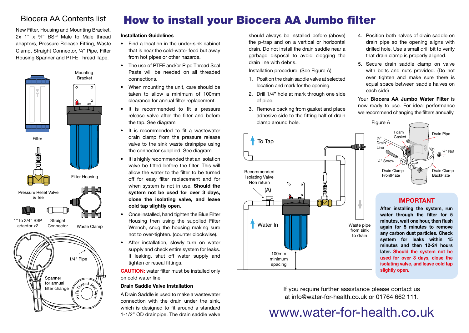### Biocera AA Contents list

New Filter, Housing and Mounting Bracket, 2x 1" x ¾" BSP Male to Male thread adaptors, Pressure Release Fitting, Waste Clamp, Straight Connector, ¼" Pipe, Filter Housing Spanner and PTFE Thread Tape.



Spanner for annual filter change

**Kntead Sear Tapes** 

## How to install your Biocera AA Jumbo filter

#### Installation Guidelines

- Find a location in the under-sink cabinet that is near the cold-water feed but away from hot pipes or other hazards.
- The use of PTFE and/or Pipe Thread Seal Paste will be needed on all threaded connections.
- When mounting the unit, care should be taken to allow a minimum of 100mm clearance for annual filter replacement.
- It is recommended to fit a pressure release valve after the filter and before the tap. See diagram
- • It is recommended to fit a wastewater drain clamp from the pressure release valve to the sink waste drainpipe using the connector supplied. See diagram
- It is highly recommended that an isolation valve be fitted before the filter. This will allow the water to the filter to be turned off for easy filter replacement and for when system is not in use. **Should the** system not be used for over 3 days, close the isolating valve, and leave cold tap slightly open.
- Once installed, hand tighten the Blue Filter Housing then using the supplied Filter Wrench, snug the housing making sure not to over-tighten. (counter clockwise).
- After installation, slowly turn on water supply and check entire system for leaks. If leaking, shut off water supply and tighten or reseal fittings.

CAUTION: water filter must be installed only on cold water line

#### Drain Saddle Valve Installation

A Drain Saddle is used to make a wastewater connection with the drain under the sink, which is designed to fit around a standard 1-1/2" OD drainpipe. The drain saddle valve should always be installed before (above) the p-trap and on a vertical or horizontal drain. Do not install the drain saddle near a garbage disposal to avoid clogging the drain line with debris.

Installation procedure: (See Figure A)

- 1. Position the drain saddle valve at selected location and mark for the opening.
- 2. Drill 1/4" hole at mark through one side of pipe.
- 3. Remove backing from gasket and place adhesive side to the fitting half of drain clamp around hole.



- 4. Position both halves of drain saddle on drain pipe so the opening aligns with drilled hole. Use a small drill bit to verify that drain clamp is properly aligned.
- 5. Secure drain saddle clamp on valve with bolts and nuts provided. (Do not over tighten and make sure there is equal space between saddle halves on each side)

Your Biocera AA Jumbo Water Filter is now ready to use. For ideal performance we recommend changing the filters annually.



### **IMPORTANT**

After installing the system, run water through the filter for 5 minutes, wait one hour, then flush again for 5 minutes to remove any carbon dust particles. Check system for leaks within 15 minutes and then 12-24 hours later. Should the system not be used for over 3 days, close the isolating valve, and leave cold tap slightly open.

If you require further assistance please contact us at info@water-for-health.co.uk or 01764 662 111.

# www.water-for-health.co.uk